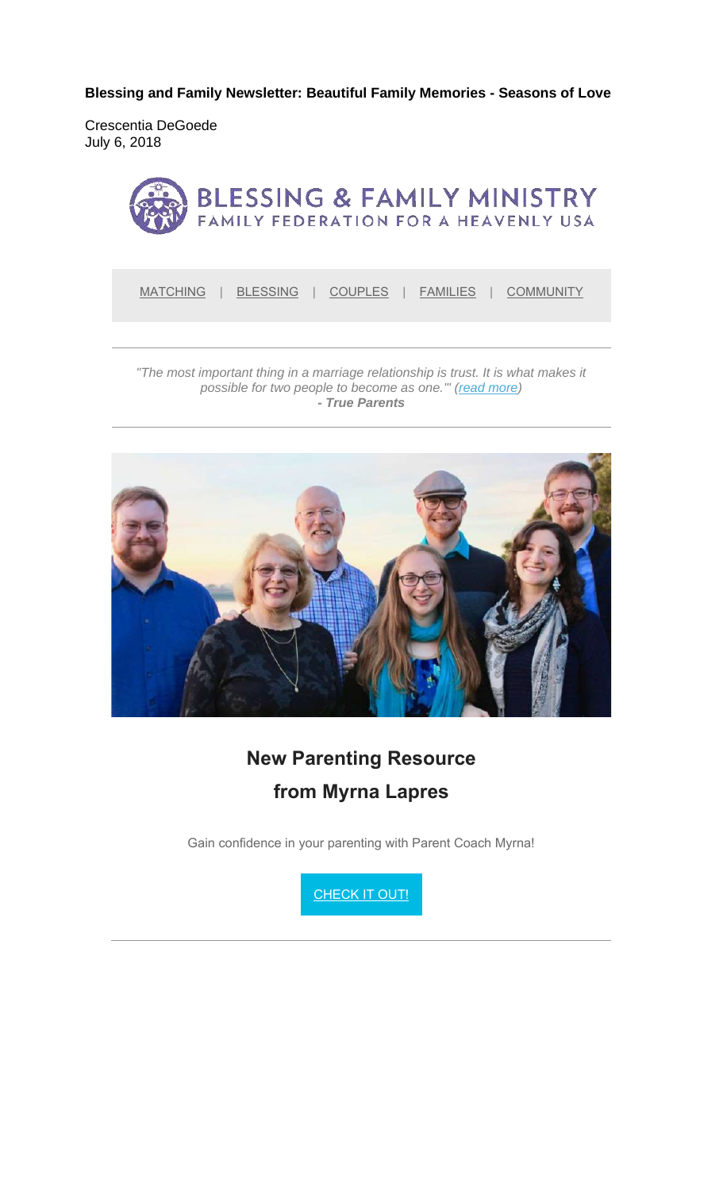**Blessing and Family Newsletter: Beautiful Family Memories - Seasons of Love**

Crescentia DeGoede July 6, 2018



MATCHING | BLESSING | COUPLES | FAMILIES | COMMUNITY

*"The most important thing in a marriage relationship is trust. It is what makes it possible for two people to become as one.'" (read more) - True Parents*



# **New Parenting Resource from Myrna Lapres**

Gain confidence in your parenting with Parent Coach Myrna!

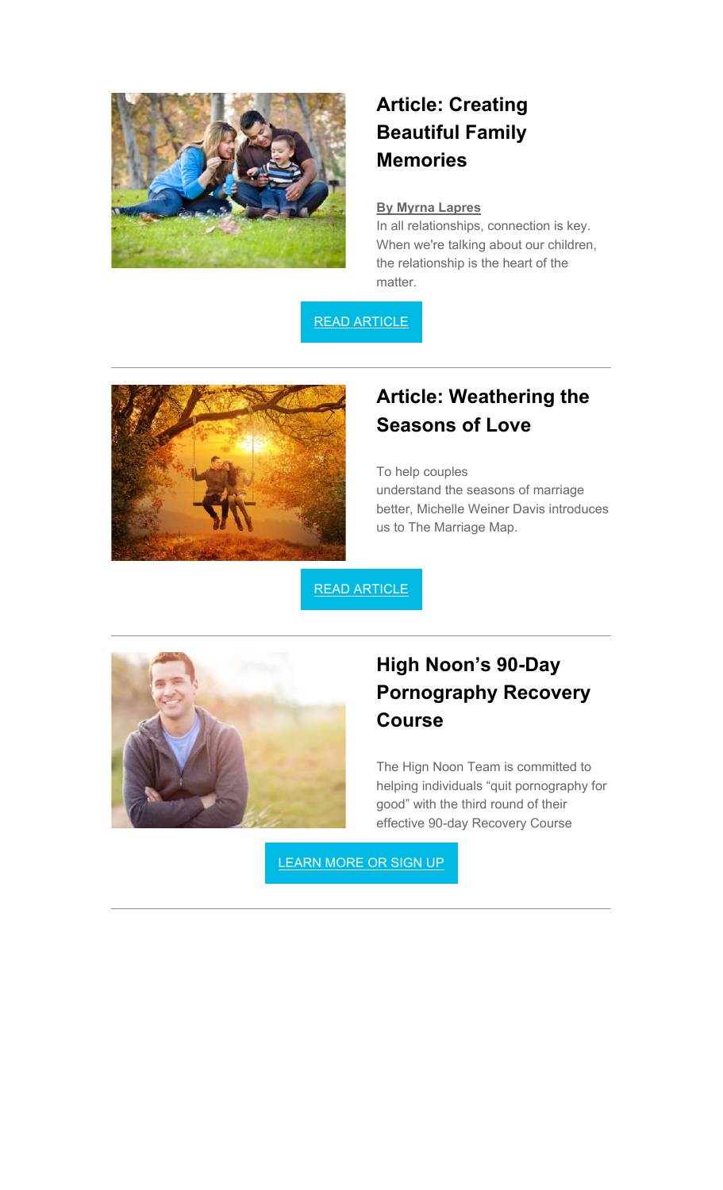

### **Article: Creating Beautiful Family Memories**

#### **By Myrna Lapres**

In all relationships, connection is key. When we're talking about our children, the relationship is the heart of the matter.

READ ARTICLE



#### **Article: Weathering the Seasons of Love**

To help couples understand the seasons of marriage better, Michelle Weiner Davis introduces us to The Marriage Map.

READ ARTICLE



#### **High Noon's 90-Day Pornography Recovery Course**

The Hign Noon Team is committed to helping individuals "quit pornography for good" with the third round of their effective 90-day Recovery Course

LEARN MORE OR SIGN UP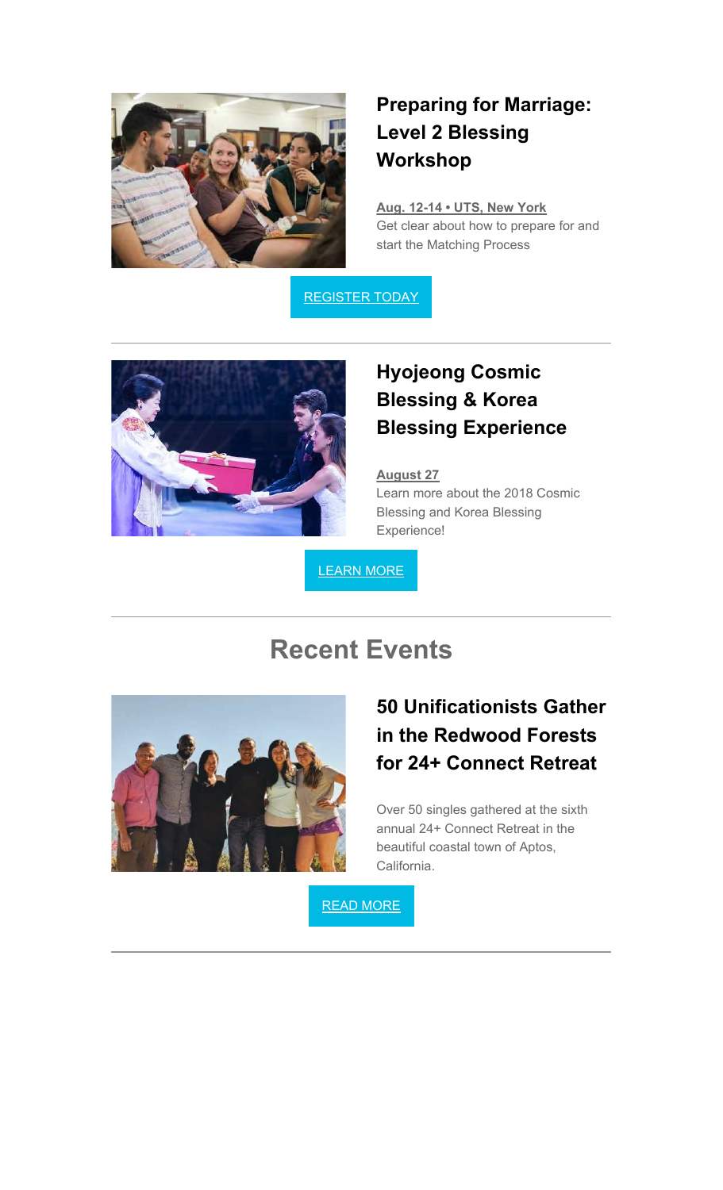

## **Preparing for Marriage: Level 2 Blessing Workshop**

**Aug. 12-14 • UTS, New York** Get clear about how to prepare for and start the Matching Process

REGISTER TODAY



## **Hyojeong Cosmic Blessing & Korea Blessing Experience**

**August 27** Learn more about the 2018 Cosmic Blessing and Korea Blessing Experience!

LEARN MORE

# **Recent Events**



#### **50 Unificationists Gather in the Redwood Forests for 24+ Connect Retreat**

Over 50 singles gathered at the sixth annual 24+ Connect Retreat in the beautiful coastal town of Aptos, California.